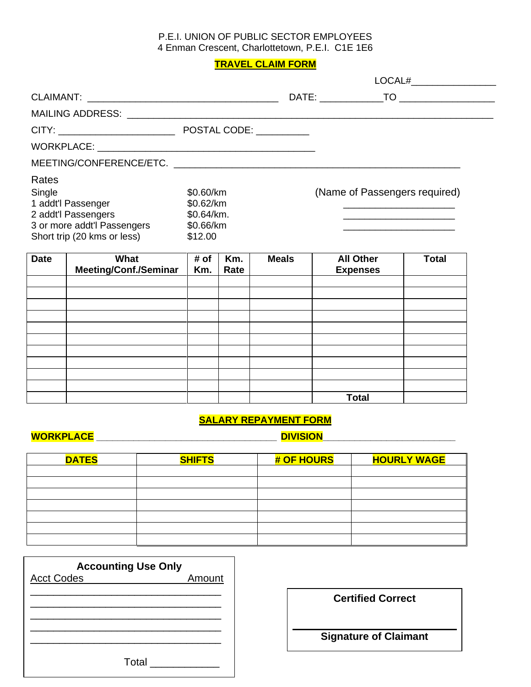### P.E.I. UNION OF PUBLIC SECTOR EMPLOYEES 4 Enman Crescent, Charlottetown, P.E.I. C1E 1E6

# **TRAVEL CLAIM FORM**

| Rates<br>Single<br>1 addt'l Passenger<br>2 addt'l Passengers<br>3 or more addt'l Passengers<br>Short trip (20 kms or less) | \$0.60/km<br>\$0.62/km<br>\$0.64/km.<br>\$0.66/km<br>\$12.00 |             |              | (Name of Passengers required)<br>the control of the control of the control of the control of the control of the control of |              |
|----------------------------------------------------------------------------------------------------------------------------|--------------------------------------------------------------|-------------|--------------|----------------------------------------------------------------------------------------------------------------------------|--------------|
| <b>Date</b><br>What<br><b>Meeting/Conf./Seminar</b>                                                                        | # of<br>Km.                                                  | Km.<br>Rate | <b>Meals</b> | <b>All Other</b><br><b>Expenses</b>                                                                                        | <b>Total</b> |
|                                                                                                                            |                                                              |             |              |                                                                                                                            |              |
|                                                                                                                            |                                                              |             |              |                                                                                                                            |              |
|                                                                                                                            |                                                              |             |              |                                                                                                                            |              |

|  |  | <b>Total</b> |  |
|--|--|--------------|--|
|  |  |              |  |
|  |  |              |  |
|  |  |              |  |
|  |  |              |  |
|  |  |              |  |
|  |  |              |  |

# **SALARY REPAYMENT FORM**

**WORKPLACE \_\_\_\_\_\_\_\_\_\_\_\_\_\_\_\_\_\_\_\_\_\_\_\_\_\_\_\_\_\_\_\_\_\_ DIVISION\_\_\_\_\_\_\_\_\_\_\_\_\_\_\_\_\_\_\_\_\_\_\_\_\_**

| <b>DATES</b> | <b>SHIFTS</b> | # OF HOURS | <b>HOURLY WAGE</b> |
|--------------|---------------|------------|--------------------|
|              |               |            |                    |
|              |               |            |                    |
|              |               |            |                    |
|              |               |            |                    |
|              |               |            |                    |
|              |               |            |                    |
|              |               |            |                    |

| <b>Accounting Use Only</b> |        |
|----------------------------|--------|
| <b>Acct Codes</b>          | Amount |
|                            |        |
|                            |        |
|                            |        |
|                            |        |
|                            |        |
| Total                      |        |

# **Certified Correct**

**Signature of Claimant**